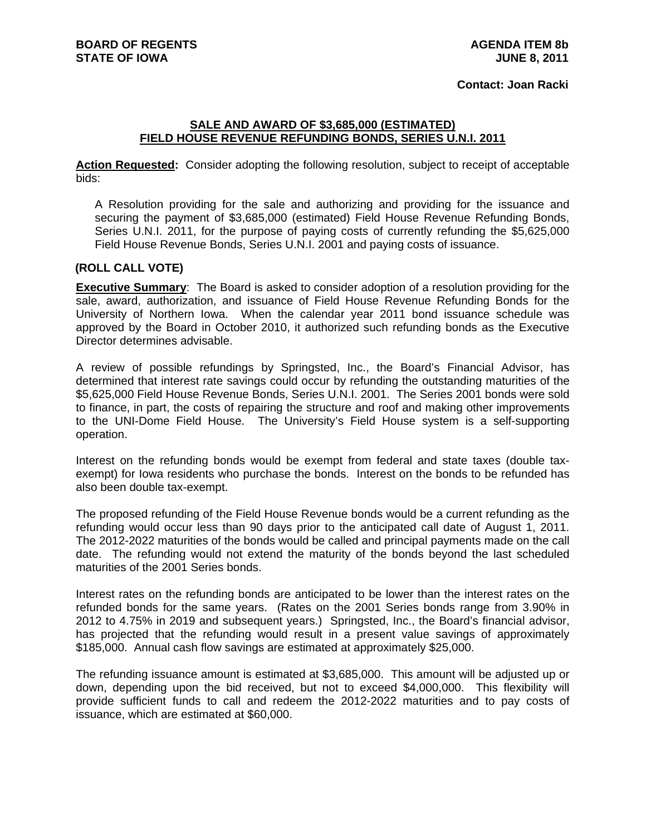## **Contact: Joan Racki**

## **SALE AND AWARD OF \$3,685,000 (ESTIMATED) FIELD HOUSE REVENUE REFUNDING BONDS, SERIES U.N.I. 2011**

**Action Requested:** Consider adopting the following resolution, subject to receipt of acceptable bids:

A Resolution providing for the sale and authorizing and providing for the issuance and securing the payment of \$3,685,000 (estimated) Field House Revenue Refunding Bonds, Series U.N.I. 2011, for the purpose of paying costs of currently refunding the \$5,625,000 Field House Revenue Bonds, Series U.N.I. 2001 and paying costs of issuance.

## **(ROLL CALL VOTE)**

**Executive Summary**: The Board is asked to consider adoption of a resolution providing for the sale, award, authorization, and issuance of Field House Revenue Refunding Bonds for the University of Northern Iowa. When the calendar year 2011 bond issuance schedule was approved by the Board in October 2010, it authorized such refunding bonds as the Executive Director determines advisable.

A review of possible refundings by Springsted, Inc., the Board's Financial Advisor, has determined that interest rate savings could occur by refunding the outstanding maturities of the \$5,625,000 Field House Revenue Bonds, Series U.N.I. 2001. The Series 2001 bonds were sold to finance, in part, the costs of repairing the structure and roof and making other improvements to the UNI-Dome Field House. The University's Field House system is a self-supporting operation.

Interest on the refunding bonds would be exempt from federal and state taxes (double taxexempt) for Iowa residents who purchase the bonds. Interest on the bonds to be refunded has also been double tax-exempt.

The proposed refunding of the Field House Revenue bonds would be a current refunding as the refunding would occur less than 90 days prior to the anticipated call date of August 1, 2011. The 2012-2022 maturities of the bonds would be called and principal payments made on the call date. The refunding would not extend the maturity of the bonds beyond the last scheduled maturities of the 2001 Series bonds.

Interest rates on the refunding bonds are anticipated to be lower than the interest rates on the refunded bonds for the same years. (Rates on the 2001 Series bonds range from 3.90% in 2012 to 4.75% in 2019 and subsequent years.) Springsted, Inc., the Board's financial advisor, has projected that the refunding would result in a present value savings of approximately \$185,000. Annual cash flow savings are estimated at approximately \$25,000.

The refunding issuance amount is estimated at \$3,685,000. This amount will be adjusted up or down, depending upon the bid received, but not to exceed \$4,000,000. This flexibility will provide sufficient funds to call and redeem the 2012-2022 maturities and to pay costs of issuance, which are estimated at \$60,000.